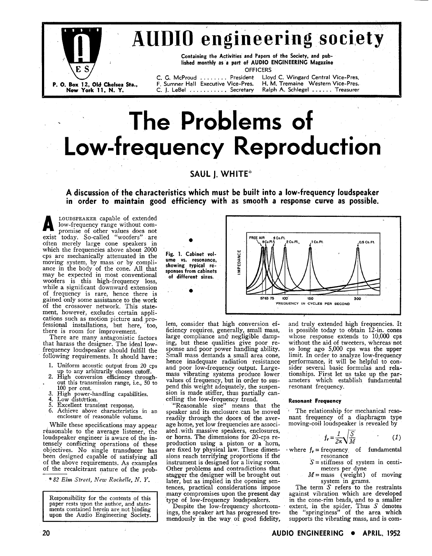

## **AUDIO** engineering society

Containing the Activities and Papers of the Society, and published monthly as a part of AUDIO ENGINEERING Magazine OFFICERS

C. G. McProud ........ President F. Sumner Hall Executive Vice-Pres. C. J. LeBel .......... Secretary

Lloyd C. Wingard Central Vice-Pres. H. M. Tremaine Western Vice-Pres. Ralph A. Schlegel ...... Treasurer

# The Problems of Low-frequency Reproduction

### **SAUL I. WHITE\***

A discussion of the characteristics which must be built into a low-frequency loudspeaker in order to maintain good efficiency with as smooth a response curve as possible.

LOUDSPEAKER capable of extended low-frequency range without compromise of other values does not<br>exist today. So-called "woofers" are<br>often merely large cone speakers in which the frequencies above about 2000 cps are mechanically attenuated in the moving system, by mass or by compliance in the body of the cone. All that may be expected in most conventional<br>woofers is this high-frequency loss, while a significant downward extension of frequency is rare, hence there is gained only some assistance to the work of the crossover network. This statement, however, excludes certain applications such as motion picture and pro-<br>fessional installations, but here, too, there is room for improvement.

There are many antagonistic factors<br>that harass the designer. The ideal lowfrequency loudspeaker should fulfill the following requirements. It should have:

- 1. Uniform acoustic output from 20 cps
- the contract of the contract of the contract of the contract of the conversion efficiency throughout this transmission range, i.e., 50 to<br>100 per cent.
- High power-handling capabilities.<br>Low distortion.  $\mathbf{3}$
- 4.
- -5.
- Excellent transient response.
- 6 Achieve above characteristics in an enclosure of reasonable volume.

While these specifications may appear reasonable to the average listener, the loudspeaker engineer is aware of the intensely conflicting operations of these objectives. No single transducer has been designed capable of satisfying all of the above requirements. As examples of the recalcitrant nature of the prob-

\* 82 Elm Street, New Rochelle, N.Y.

Responsibility for the contents of this paper rests upon the author, and statements contained herein are not binding upon the Audio Engineering Society.



lem, consider that high conversion efficiency requires, generally, small mass,<br>large compliance and negligible damping, but these qualities give poor response and poor power handling ability. Small mass demands a small area cone, hence inadequate radiation resistance and poor low-frequency output. Largemass vibrating systems produce lower values of frequency, but in order to suspend this weight adequately, the suspension is made stiffer, thus partially cancelling the low-frequency trend.

"Reasonable size" means that the speaker and its enclosure can be moved readily through the doors of the average home, yet low frequencies are associated with massive speakers, enclosures, or horns. The dimensions for 20-cps reproduction using a piston or a horn,<br>are fixed by physical law. These dimensions reach terrifying proportions if the instrument is designed for a living room. Other problems and contradictions that stagger the designer will be brought out later, but as implied in the opening sentences, practical considerations impose many compromises upon the present day type of low-frequency loudspeakers.

Despite the low-frequency shortcomings, the speaker art has progressed tremendously in the way of good fidelity,

and truly extended high frequencies. It is possible today to obtain 12-in. cones whose response extends to 10,000 cps without the aid of tweeters, whereas not so long ago 5,000 cps was the upper limit. In order to analyze low-frequency performance, it will be helpful to consider several basic formulas and relationships. First let us take up the parameters which establish fundamental resonant frequency.

#### **Resonant Frequency**

The relationship for mechanical resonant frequency of a diaphragm type moving-coil loudspeaker is revealed by

$$
f_r = \frac{1}{2\pi} \sqrt{\frac{S}{M}} \tag{1}
$$

where  $f_r = \text{frequency}$  of fundamental resonance

- $S =$  stiffness of system in centimeters per dyne
- $M = \frac{m \times m}{m \times m}$  (weight) of moving<br>system in grams.

The term S refers to the restraints against vibration which are developed in the cone-rim beads, and to a smaller extent, in the spider. Thus S denotes<br>the "springiness" of the area which supports the vibrating mass, and is com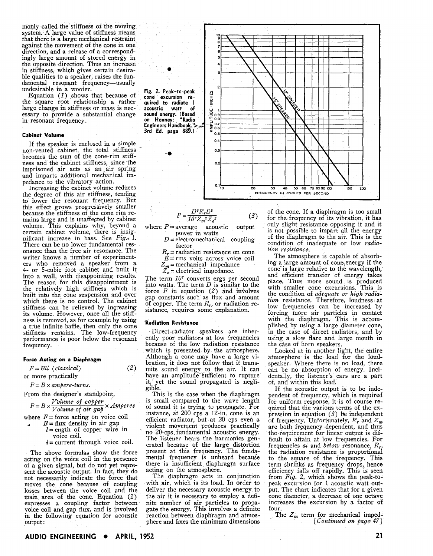monly called the stiffness of the moving system. **A** large value of stiffness means that there is a large mechanical restraint direction, and a release of a correspondingly large amount of stored energy in the opposite direction. Thus an increase in stiffness, which gives certain desirable qualities to a speaker, raises the fundamental resonant frequency-usually undesirable in a woofer.

Equation *(1)* shows that because of the square root relationship a rather large change in stiffness or mass is necessary to provide a substantial change in resonant frequency.

#### **Cabinet Volume**

If the speaker is enclosed in a simple non-vented cabinet, the total stiffness becomes the sum of the cone-rim stiff- ness and the cabinet stiffness, since the imprisoned air acts as an air spring and imparts additional mechanical impedance to the vibratory action.

Increasing the cabinet volume reduces the degree of this air stiffness, tending to lower the resonant frequency. But this effect grows progressively smaller<br>because the stiffness of the cone rim rebecause the stiffness of the cone rim re- mains large and is unaffected by cabinet volume. This explains why, beyond a certain cabinet volume, there is insignificant increase in bass. See *Fig..,* 1. There can be no lower fundamental res-<br>onance than the free air resonance. The<br>writer knows a number of experimenters who removed a speaker from a 4- or 5-cubic foot cabinet and built it into a wall, with disappointing results. The reason for this disappointment is the relatively high stiffness which is which there is no control. The cabinet stiffness can be relieved by increasing its volume. However, once all the stiffness is removed, as for example by using a true infinite baffle, then only the cone stiffness remains. The low-frequency performance is poor below the resonant frequency.

#### **Force Acting an a Diaphragm**

*F* = *Bli (classica8)* **(2)**  or more practically

 $F = B \times ampere-turns.$ 

From the designer's standpoint,

 $F = B \times \frac{Volume \space of \space copper}{Volume \space of \space air \space gap} \times Amperes$ <br>
there  $F =$  force acting on voice coil<br>  $B =$  flux density in air gap<br>  $l =$  ength of conner wire in

where  $F =$  force acting on voice coil<br> $B =$  flux density in air gap

- $l =$  ength of copper wire in voice coil.
	- $i =$  current through voice coil.

The above formulas show the force acting on the voice coil in the presence of a given signal, but do not yet represent the acoustic output. In fact, they do not necessarily indicate the force that moves the cone because of coupling losses between the voice coil and the main area of the cone. Equation **(2)**  expresses a coupling factor between voice coil and gap **flux,** and is involved in the following equation for acoustic output :



 $(3)$ 

 $P = \frac{D^2 R_r E^2}{10^7 Z_m^2 Z_e^2}$  (3)<br>where  $P =$  average acoustic output power in watts

- $D =$  electromechanical coupling
- factor<br> $R_r$  = radiation resistance on cone  $R_r$  = radiation resistance on cone<br> $E = rms$  volts across voice coil

 $Z_m$  = mechanical impedance<br> $Z_e$  = electrical impedance.

The term *lo7* converts ergs per second into watts. The term  $D$  is similar to the force  $F$  in equation (2) and involves gap constants such as flux and amount of copper. The term  $R_r$ , or radiation resistance, requires some explanation.

#### **Radiation Resistance**

Direct-radiator speakers are inherently poor radiators at low frequencies because of the low radiation resistance which is presented by the atmosphere. Although a cone may have a large vibration, it does not follow that it transmits sound energy to the air. It can have an amplitude sufficient to rupture it,' yet the sound propagated is negligible.

This is the case when the diaphragm is small compared to the wave length of sound it is trying to propagate. For<br>instance, at 200 cps a 12-in. cone is an efficient radiator, but at 20 cps even a violent movement produces practically no 20-cps, fundamental acoustic energy. The listener hears the harmonics generated because of the large distortion present at this frequency. The fundamental frequency is unheard because there is insufficient diaphragm surface acting on the atmosphere.

The diaphragm acts in conjunction with air, which is its load. In order to deliver the necessary acoustic energy to the air it is necessary to employ a definite number of air particles to propagate the energy. This involves a definite reaction between diaphragm and atmosphere and fixes the minimum dimensions of the cone. If a diaphragm is too small for the frequency of its vibration, it has only slight resistance opposing it and it is not possible to impart all the energy of the diaphragm to the air. This is the condition of inadequate or low *radiation resistance.* 

The atmosphere is capable of absorbing a large amount of cone,energy if the cone is large relative to the wavelength, and efficient transfer of energy takes place. Thus more sound is produced with smaller cone excursions. This is the condition of *adequate or high radia*tion resistance. Therefore, loudness at low frequencies can be increased by forcing more air particles in contact with the diaphragm. This is accom-<br>plished by using a large diameter cone, in the case of direct radiators, and by using a slow flare and large mouth in the case of horn speakers.

Looked at in another light, the entire atmosphere is the load for the loud-<br>speaker. Where there is no load, there can be no absorption of energy. Incidentally, the listener's ears are a part of, and within this load.

If the acoustic output is to be independent of frequency, which is required<br>for uniform response, it is of course required that the various terms of the ex-<br>pression in equation (3) be independent<br>of frequency. Unfortunately,  $R_r$  and  $Z_m$ of frequency. Unfortunately,  $R_r$  and  $Z_m$  are both frequency dependent, and thus the requirement for linear output is difficult to attain at low frequencies. For frequencies *at* and *below* resonance,  $R_r$ , the radiation resistance is proportional to the square of the frequency. This term shrinks as frequency drops, hence efficiency falls off rapidly. This is seen from *Fig.* 2, which shows the peak-tofrom  $Fig. 2$ , which shows the peak-to-<br>peak excursion for 1 acoustic watt out-<br>put. The chart indicates that for a given cone diameter, a decrease of one octave increases the excursion by a factor of four.

The  $Z_m$  term for mechanical imped-*[Continued on page* 471